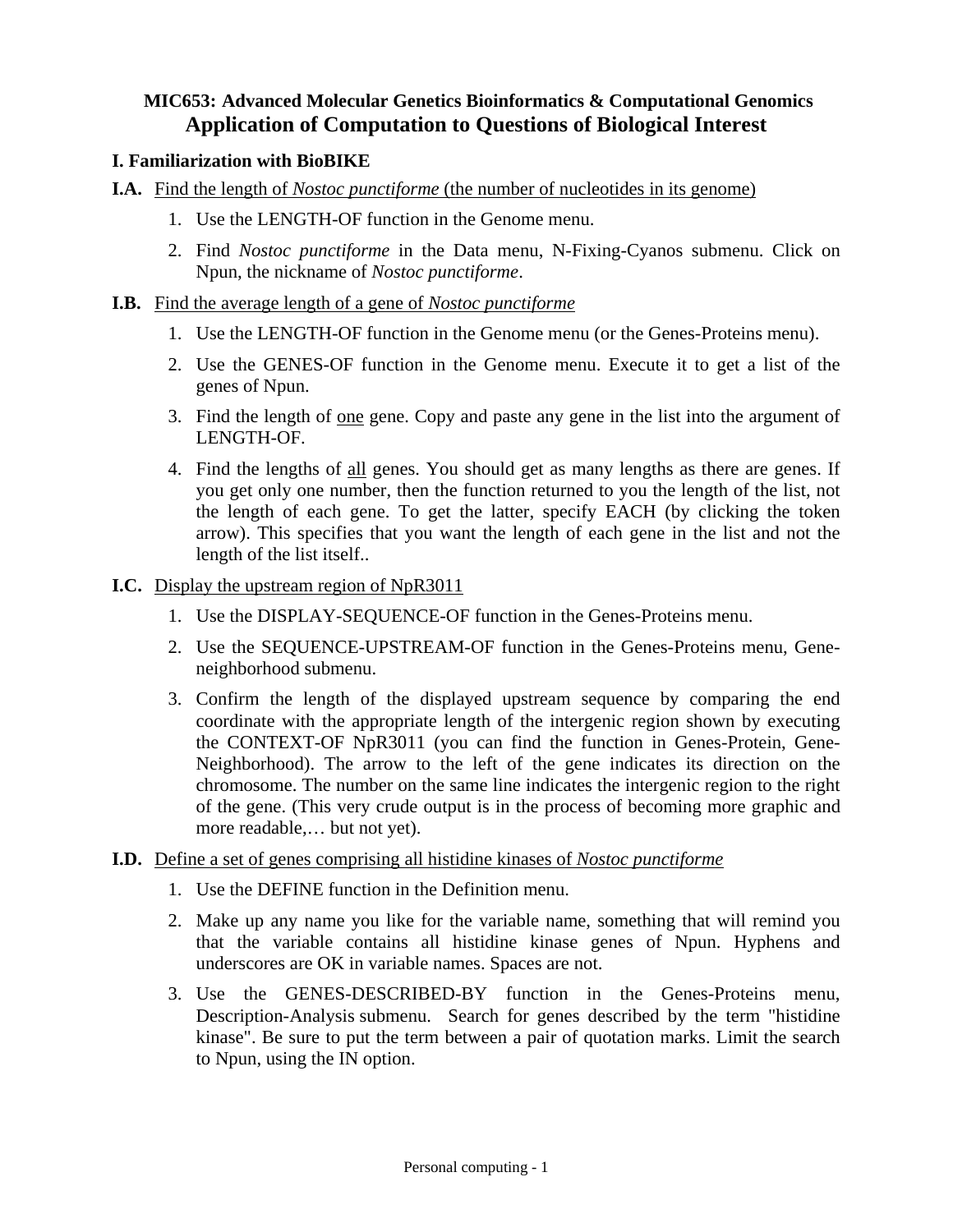# **MIC653: Advanced Molecular Genetics Bioinformatics & Computational Genomics Application of Computation to Questions of Biological Interest**

### **I. Familiarization with BioBIKE**

- **I.A.** Find the length of *Nostoc punctiforme* (the number of nucleotides in its genome)
	- 1. Use the LENGTH-OF function in the Genome menu.
	- 2. Find *Nostoc punctiforme* in the Data menu, N-Fixing-Cyanos submenu. Click on Npun, the nickname of *Nostoc punctiforme*.
- **I.B.** Find the average length of a gene of *Nostoc punctiforme*
	- 1. Use the LENGTH-OF function in the Genome menu (or the Genes-Proteins menu).
	- 2. Use the GENES-OF function in the Genome menu. Execute it to get a list of the genes of Npun.
	- 3. Find the length of one gene. Copy and paste any gene in the list into the argument of LENGTH-OF.
	- 4. Find the lengths of all genes. You should get as many lengths as there are genes. If you get only one number, then the function returned to you the length of the list, not the length of each gene. To get the latter, specify EACH (by clicking the token arrow). This specifies that you want the length of each gene in the list and not the length of the list itself..
- **I.C.** Display the upstream region of NpR3011
	- 1. Use the DISPLAY-SEQUENCE-OF function in the Genes-Proteins menu.
	- 2. Use the SEQUENCE-UPSTREAM-OF function in the Genes-Proteins menu, Geneneighborhood submenu.
	- 3. Confirm the length of the displayed upstream sequence by comparing the end coordinate with the appropriate length of the intergenic region shown by executing the CONTEXT-OF NpR3011 (you can find the function in Genes-Protein, Gene-Neighborhood). The arrow to the left of the gene indicates its direction on the chromosome. The number on the same line indicates the intergenic region to the right of the gene. (This very crude output is in the process of becoming more graphic and more readable,… but not yet).
- **I.D.** Define a set of genes comprising all histidine kinases of *Nostoc punctiforme* 
	- 1. Use the DEFINE function in the Definition menu.
	- 2. Make up any name you like for the variable name, something that will remind you that the variable contains all histidine kinase genes of Npun. Hyphens and underscores are OK in variable names. Spaces are not.
	- 3. Use the GENES-DESCRIBED-BY function in the Genes-Proteins menu, Description-Analysis submenu. Search for genes described by the term "histidine kinase". Be sure to put the term between a pair of quotation marks. Limit the search to Npun, using the IN option.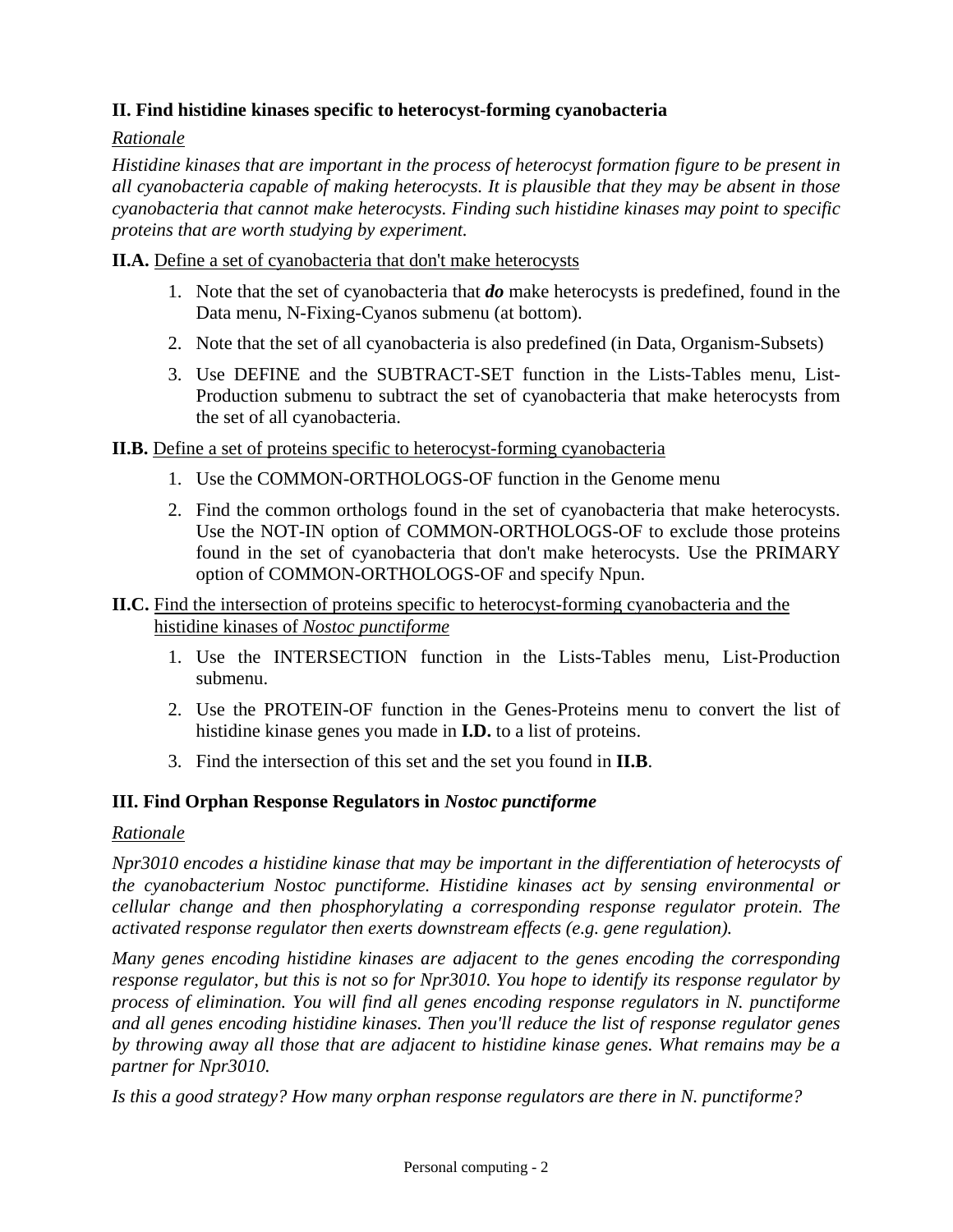# **II. Find histidine kinases specific to heterocyst-forming cyanobacteria**

## *Rationale*

*Histidine kinases that are important in the process of heterocyst formation figure to be present in all cyanobacteria capable of making heterocysts. It is plausible that they may be absent in those cyanobacteria that cannot make heterocysts. Finding such histidine kinases may point to specific proteins that are worth studying by experiment.* 

#### **II.A.** Define a set of cyanobacteria that don't make heterocysts

- 1. Note that the set of cyanobacteria that *do* make heterocysts is predefined, found in the Data menu, N-Fixing-Cyanos submenu (at bottom).
- 2. Note that the set of all cyanobacteria is also predefined (in Data, Organism-Subsets)
- 3. Use DEFINE and the SUBTRACT-SET function in the Lists-Tables menu, List-Production submenu to subtract the set of cyanobacteria that make heterocysts from the set of all cyanobacteria.

## **II.B.** Define a set of proteins specific to heterocyst-forming cyanobacteria

- 1. Use the COMMON-ORTHOLOGS-OF function in the Genome menu
- 2. Find the common orthologs found in the set of cyanobacteria that make heterocysts. Use the NOT-IN option of COMMON-ORTHOLOGS-OF to exclude those proteins found in the set of cyanobacteria that don't make heterocysts. Use the PRIMARY option of COMMON-ORTHOLOGS-OF and specify Npun.

### **II.C.** Find the intersection of proteins specific to heterocyst-forming cyanobacteria and the histidine kinases of *Nostoc punctiforme*

- 1. Use the INTERSECTION function in the Lists-Tables menu, List-Production submenu.
- 2. Use the PROTEIN-OF function in the Genes-Proteins menu to convert the list of histidine kinase genes you made in **I.D.** to a list of proteins.
- 3. Find the intersection of this set and the set you found in **II.B**.

## **III. Find Orphan Response Regulators in** *Nostoc punctiforme*

#### *Rationale*

*Npr3010 encodes a histidine kinase that may be important in the differentiation of heterocysts of the cyanobacterium Nostoc punctiforme. Histidine kinases act by sensing environmental or cellular change and then phosphorylating a corresponding response regulator protein. The activated response regulator then exerts downstream effects (e.g. gene regulation).* 

*Many genes encoding histidine kinases are adjacent to the genes encoding the corresponding response regulator, but this is not so for Npr3010. You hope to identify its response regulator by process of elimination. You will find all genes encoding response regulators in N. punctiforme and all genes encoding histidine kinases. Then you'll reduce the list of response regulator genes by throwing away all those that are adjacent to histidine kinase genes. What remains may be a partner for Npr3010.* 

*Is this a good strategy? How many orphan response regulators are there in N. punctiforme?*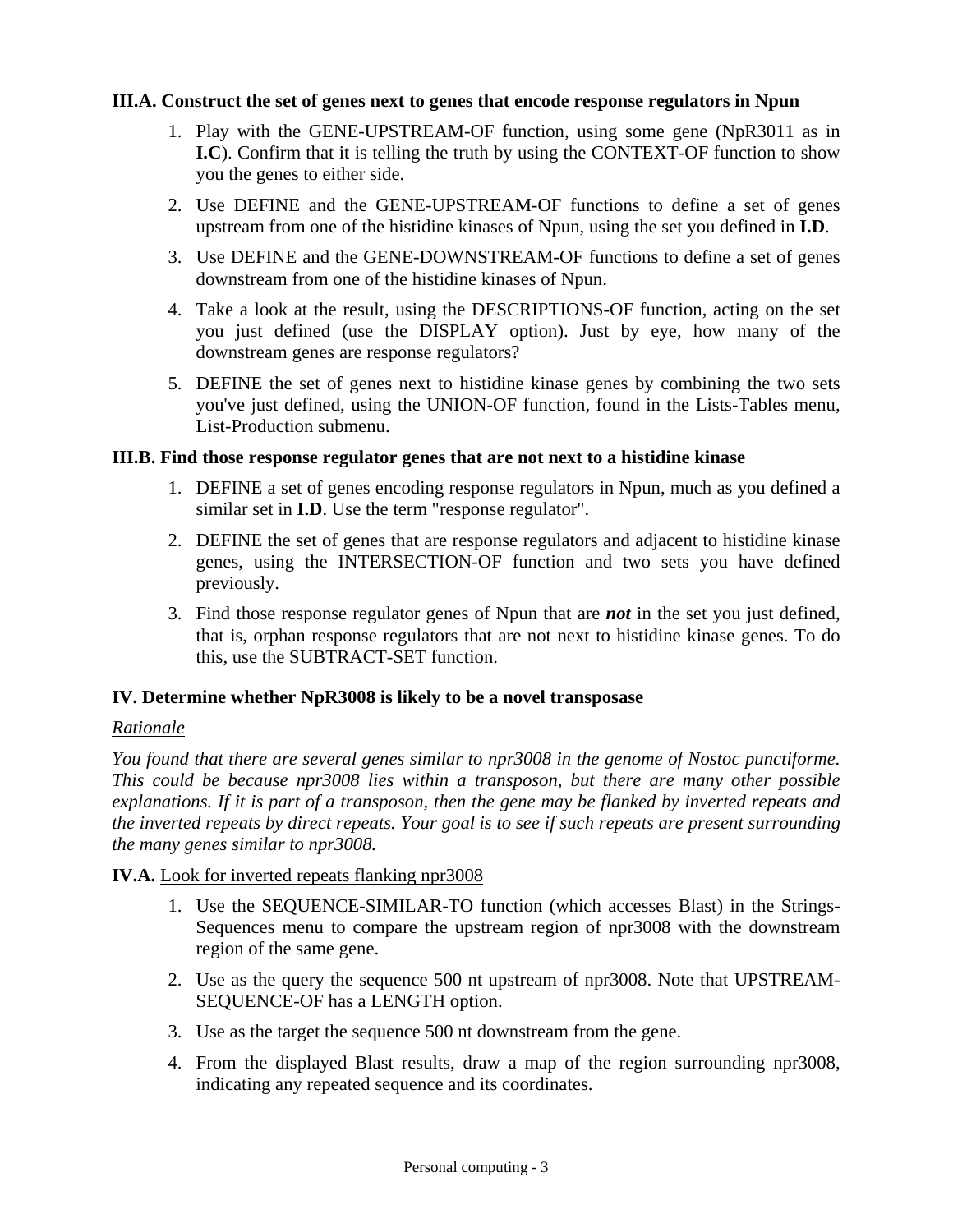### **III.A. Construct the set of genes next to genes that encode response regulators in Npun**

- 1. Play with the GENE-UPSTREAM-OF function, using some gene (NpR3011 as in **I.C**). Confirm that it is telling the truth by using the CONTEXT-OF function to show you the genes to either side.
- 2. Use DEFINE and the GENE-UPSTREAM-OF functions to define a set of genes upstream from one of the histidine kinases of Npun, using the set you defined in **I.D**.
- 3. Use DEFINE and the GENE-DOWNSTREAM-OF functions to define a set of genes downstream from one of the histidine kinases of Npun.
- 4. Take a look at the result, using the DESCRIPTIONS-OF function, acting on the set you just defined (use the DISPLAY option). Just by eye, how many of the downstream genes are response regulators?
- 5. DEFINE the set of genes next to histidine kinase genes by combining the two sets you've just defined, using the UNION-OF function, found in the Lists-Tables menu, List-Production submenu.

### **III.B. Find those response regulator genes that are not next to a histidine kinase**

- 1. DEFINE a set of genes encoding response regulators in Npun, much as you defined a similar set in **I.D**. Use the term "response regulator".
- 2. DEFINE the set of genes that are response regulators and adjacent to histidine kinase genes, using the INTERSECTION-OF function and two sets you have defined previously.
- 3. Find those response regulator genes of Npun that are *not* in the set you just defined, that is, orphan response regulators that are not next to histidine kinase genes. To do this, use the SUBTRACT-SET function.

## **IV. Determine whether NpR3008 is likely to be a novel transposase**

## *Rationale*

*You found that there are several genes similar to npr3008 in the genome of Nostoc punctiforme. This could be because npr3008 lies within a transposon, but there are many other possible explanations. If it is part of a transposon, then the gene may be flanked by inverted repeats and the inverted repeats by direct repeats. Your goal is to see if such repeats are present surrounding the many genes similar to npr3008.* 

#### **IV.A.** Look for inverted repeats flanking npr3008

- 1. Use the SEQUENCE-SIMILAR-TO function (which accesses Blast) in the Strings-Sequences menu to compare the upstream region of npr3008 with the downstream region of the same gene.
- 2. Use as the query the sequence 500 nt upstream of npr3008. Note that UPSTREAM-SEQUENCE-OF has a LENGTH option.
- 3. Use as the target the sequence 500 nt downstream from the gene.
- 4. From the displayed Blast results, draw a map of the region surrounding npr3008, indicating any repeated sequence and its coordinates.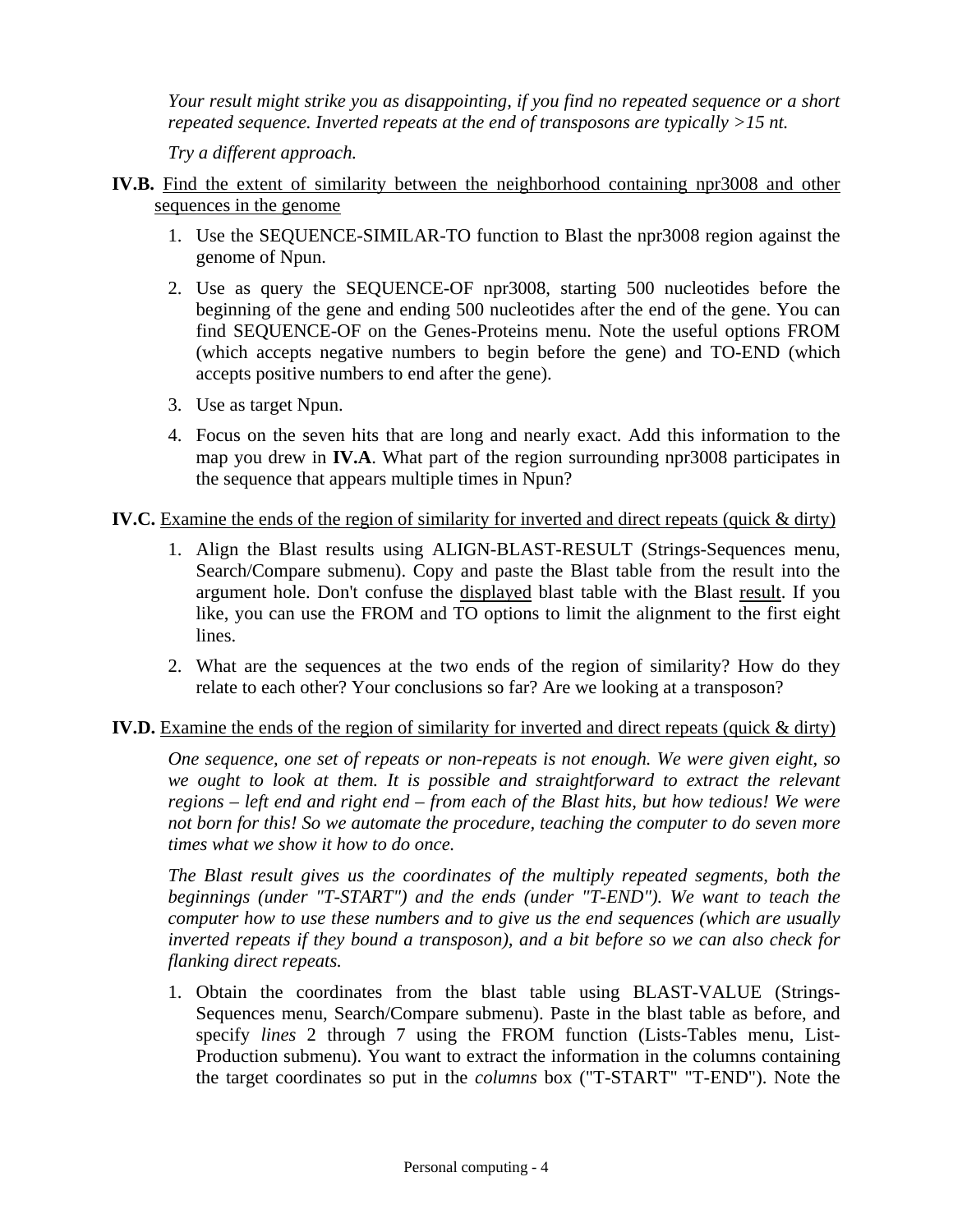*Your result might strike you as disappointing, if you find no repeated sequence or a short repeated sequence. Inverted repeats at the end of transposons are typically >15 nt.* 

*Try a different approach.* 

- **IV.B.** Find the extent of similarity between the neighborhood containing npr3008 and other sequences in the genome
	- 1. Use the SEQUENCE-SIMILAR-TO function to Blast the npr3008 region against the genome of Npun.
	- 2. Use as query the SEQUENCE-OF npr3008, starting 500 nucleotides before the beginning of the gene and ending 500 nucleotides after the end of the gene. You can find SEQUENCE-OF on the Genes-Proteins menu. Note the useful options FROM (which accepts negative numbers to begin before the gene) and TO-END (which accepts positive numbers to end after the gene).
	- 3. Use as target Npun.
	- 4. Focus on the seven hits that are long and nearly exact. Add this information to the map you drew in **IV.A**. What part of the region surrounding npr3008 participates in the sequence that appears multiple times in Npun?

### **IV.C.** Examine the ends of the region of similarity for inverted and direct repeats (quick & dirty)

- 1. Align the Blast results using ALIGN-BLAST-RESULT (Strings-Sequences menu, Search/Compare submenu). Copy and paste the Blast table from the result into the argument hole. Don't confuse the displayed blast table with the Blast result. If you like, you can use the FROM and TO options to limit the alignment to the first eight lines.
- 2. What are the sequences at the two ends of the region of similarity? How do they relate to each other? Your conclusions so far? Are we looking at a transposon?

## **IV.D.** Examine the ends of the region of similarity for inverted and direct repeats (quick & dirty)

*One sequence, one set of repeats or non-repeats is not enough. We were given eight, so*  we ought to look at them. It is possible and straightforward to extract the relevant *regions – left end and right end – from each of the Blast hits, but how tedious! We were not born for this! So we automate the procedure, teaching the computer to do seven more times what we show it how to do once.* 

*The Blast result gives us the coordinates of the multiply repeated segments, both the beginnings (under "T-START") and the ends (under "T-END"). We want to teach the computer how to use these numbers and to give us the end sequences (which are usually inverted repeats if they bound a transposon), and a bit before so we can also check for flanking direct repeats.* 

1. Obtain the coordinates from the blast table using BLAST-VALUE (Strings-Sequences menu, Search/Compare submenu). Paste in the blast table as before, and specify *lines* 2 through 7 using the FROM function (Lists-Tables menu, List-Production submenu). You want to extract the information in the columns containing the target coordinates so put in the *columns* box ("T-START" "T-END"). Note the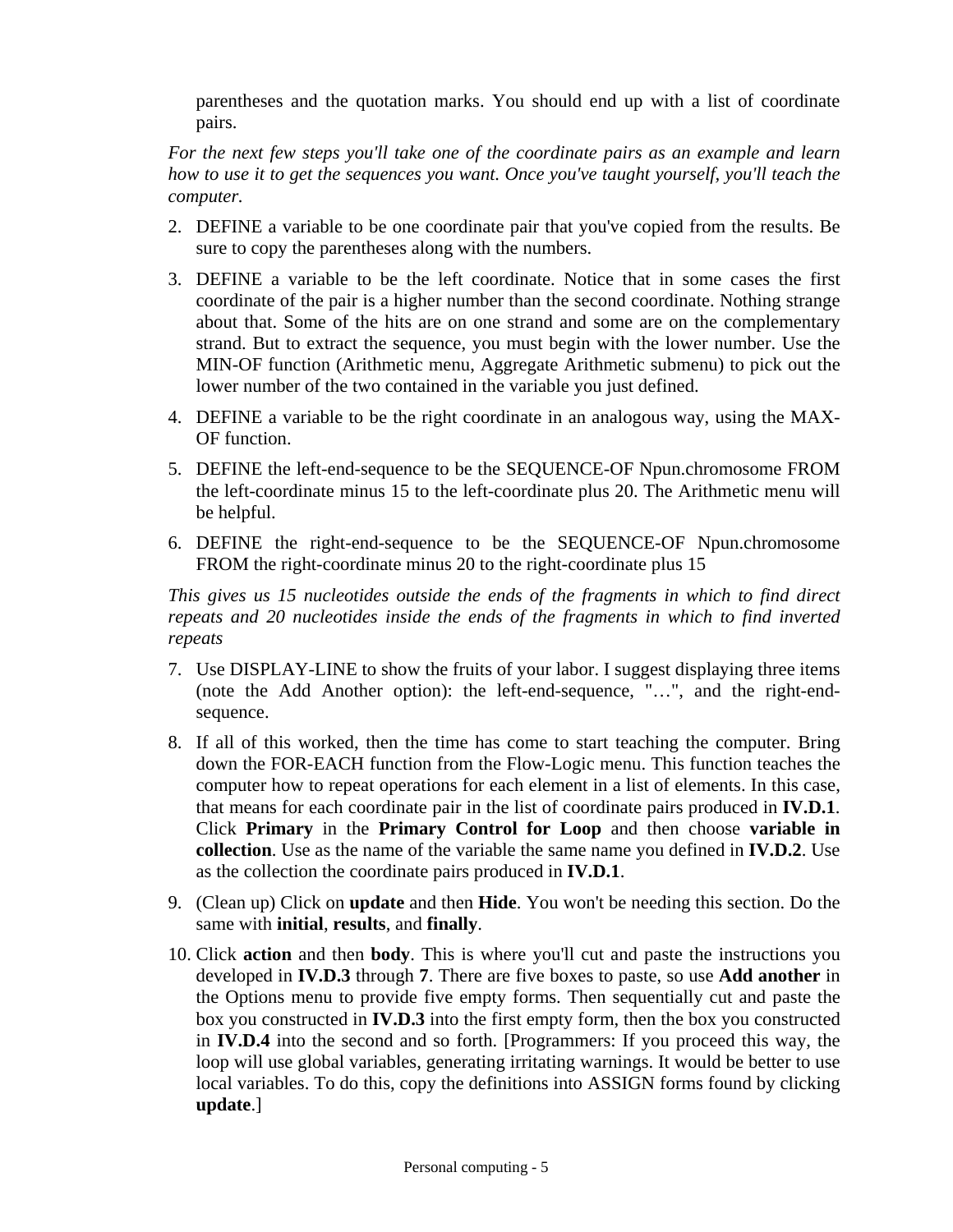parentheses and the quotation marks. You should end up with a list of coordinate pairs.

*For the next few steps you'll take one of the coordinate pairs as an example and learn how to use it to get the sequences you want. Once you've taught yourself, you'll teach the computer.* 

- 2. DEFINE a variable to be one coordinate pair that you've copied from the results. Be sure to copy the parentheses along with the numbers.
- 3. DEFINE a variable to be the left coordinate. Notice that in some cases the first coordinate of the pair is a higher number than the second coordinate. Nothing strange about that. Some of the hits are on one strand and some are on the complementary strand. But to extract the sequence, you must begin with the lower number. Use the MIN-OF function (Arithmetic menu, Aggregate Arithmetic submenu) to pick out the lower number of the two contained in the variable you just defined.
- 4. DEFINE a variable to be the right coordinate in an analogous way, using the MAX-OF function.
- 5. DEFINE the left-end-sequence to be the SEQUENCE-OF Npun.chromosome FROM the left-coordinate minus 15 to the left-coordinate plus 20. The Arithmetic menu will be helpful.
- 6. DEFINE the right-end-sequence to be the SEQUENCE-OF Npun.chromosome FROM the right-coordinate minus 20 to the right-coordinate plus 15

*This gives us 15 nucleotides outside the ends of the fragments in which to find direct repeats and 20 nucleotides inside the ends of the fragments in which to find inverted repeats* 

- 7. Use DISPLAY-LINE to show the fruits of your labor. I suggest displaying three items (note the Add Another option): the left-end-sequence, "…", and the right-endsequence.
- 8. If all of this worked, then the time has come to start teaching the computer. Bring down the FOR-EACH function from the Flow-Logic menu. This function teaches the computer how to repeat operations for each element in a list of elements. In this case, that means for each coordinate pair in the list of coordinate pairs produced in **IV.D.1**. Click **Primary** in the **Primary Control for Loop** and then choose **variable in collection**. Use as the name of the variable the same name you defined in **IV.D.2**. Use as the collection the coordinate pairs produced in **IV.D.1**.
- 9. (Clean up) Click on **update** and then **Hide**. You won't be needing this section. Do the same with **initial**, **results**, and **finally**.
- 10. Click **action** and then **body**. This is where you'll cut and paste the instructions you developed in **IV.D.3** through **7**. There are five boxes to paste, so use **Add another** in the Options menu to provide five empty forms. Then sequentially cut and paste the box you constructed in **IV.D.3** into the first empty form, then the box you constructed in **IV.D.4** into the second and so forth. [Programmers: If you proceed this way, the loop will use global variables, generating irritating warnings. It would be better to use local variables. To do this, copy the definitions into ASSIGN forms found by clicking **update**.]